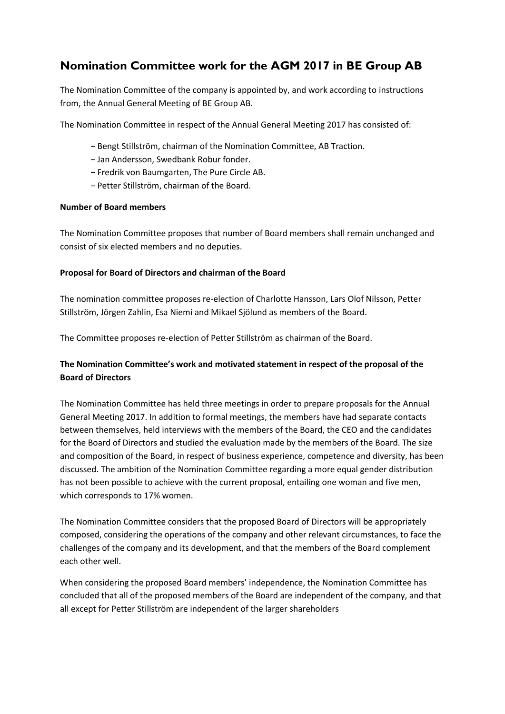# **Nomination Committee work for the AGM 2017 in BE Group AB**

The Nomination Committee of the company is appointed by, and work according to instructions from, the Annual General Meeting of BE Group AB.

The Nomination Committee in respect of the Annual General Meeting 2017 has consisted of:

- − Bengt Stillström, chairman of the Nomination Committee, AB Traction.
- − Jan Andersson, Swedbank Robur fonder.
- − Fredrik von Baumgarten, The Pure Circle AB.
- − Petter Stillström, chairman of the Board.

### **Number of Board members**

The Nomination Committee proposes that number of Board members shall remain unchanged and consist of six elected members and no deputies.

### **Proposal for Board of Directors and chairman of the Board**

The nomination committee proposes re-election of Charlotte Hansson, Lars Olof Nilsson, Petter Stillström, Jörgen Zahlin, Esa Niemi and Mikael Sjölund as members of the Board.

The Committee proposes re-election of Petter Stillström as chairman of the Board.

# **The Nomination Committee's work and motivated statement in respect of the proposal of the Board of Directors**

The Nomination Committee has held three meetings in order to prepare proposals for the Annual General Meeting 2017. In addition to formal meetings, the members have had separate contacts between themselves, held interviews with the members of the Board, the CEO and the candidates for the Board of Directors and studied the evaluation made by the members of the Board. The size and composition of the Board, in respect of business experience, competence and diversity, has been discussed. The ambition of the Nomination Committee regarding a more equal gender distribution has not been possible to achieve with the current proposal, entailing one woman and five men, which corresponds to 17% women.

The Nomination Committee considers that the proposed Board of Directors will be appropriately composed, considering the operations of the company and other relevant circumstances, to face the challenges of the company and its development, and that the members of the Board complement each other well.

When considering the proposed Board members' independence, the Nomination Committee has concluded that all of the proposed members of the Board are independent of the company, and that all except for Petter Stillström are independent of the larger shareholders